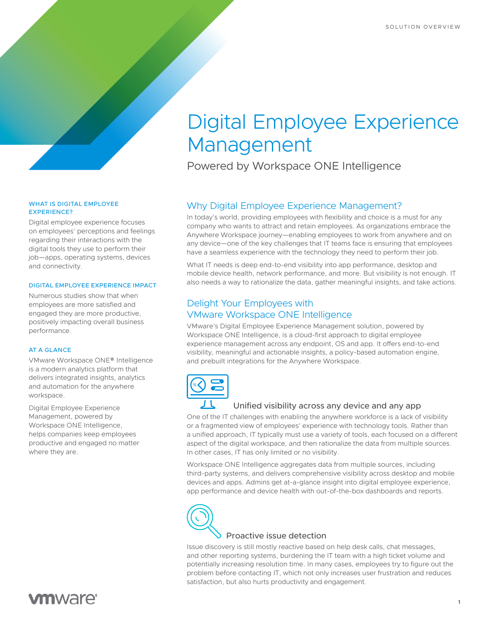# Digital Employee Experience Management

Powered by Workspace ONE Intelligence

## Why Digital Employee Experience Management?

In today's world, providing employees with flexibility and choice is a must for any company who wants to attract and retain employees. As organizations embrace the Anywhere Workspace journey—enabling employees to work from anywhere and on any device—one of the key challenges that IT teams face is ensuring that employees have a seamless experience with the technology they need to perform their job.

What IT needs is deep end-to-end visibility into app performance, desktop and mobile device health, network performance, and more. But visibility is not enough. IT also needs a way to rationalize the data, gather meaningful insights, and take actions.

### Delight Your Employees with VMware Workspace ONE Intelligence

VMware's Digital Employee Experience Management solution, powered by Workspace ONE Intelligence, is a cloud-first approach to digital employee experience management across any endpoint, OS and app. It offers end-to-end visibility, meaningful and actionable insights, a policy-based automation engine, and prebuilt integrations for the Anywhere Workspace.



#### Unified visibility across any device and any app

One of the IT challenges with enabling the anywhere workforce is a lack of visibility or a fragmented view of employees' experience with technology tools. Rather than a unified approach, IT typically must use a variety of tools, each focused on a different aspect of the digital workspace, and then rationalize the data from multiple sources. In other cases, IT has only limited or no visibility.

Workspace ONE Intelligence aggregates data from multiple sources, including third-party systems, and delivers comprehensive visibility across desktop and mobile devices and apps. Admins get at-a-glance insight into digital employee experience, app performance and device health with out-of-the-box dashboards and reports.



#### Proactive issue detection

Issue discovery is still mostly reactive based on help desk calls, chat messages, and other reporting systems, burdening the IT team with a high ticket volume and potentially increasing resolution time. In many cases, employees try to figure out the problem before contacting IT, which not only increases user frustration and reduces satisfaction, but also hurts productivity and engagement.

#### WHAT IS DIGITAL EMPLOYEE EXPERIENCE?

Digital employee experience focuses on employees' perceptions and feelings regarding their interactions with the digital tools they use to perform their job—apps, operating systems, devices and connectivity.

#### DIGITAL EMPLOYEE EXPERIENCE IMPACT

Numerous studies show that when employees are more satisfied and engaged they are more productive, positively impacting overall business performance.

#### AT A GLANCE

VMware Workspace ONE® Intelligence is a modern analytics platform that delivers integrated insights, analytics and automation for the anywhere workspace.

Digital Employee Experience Management, powered by Workspace ONE Intelligence, helps companies keep employees productive and engaged no matter where they are.

# **vm**ware<sup>®</sup>